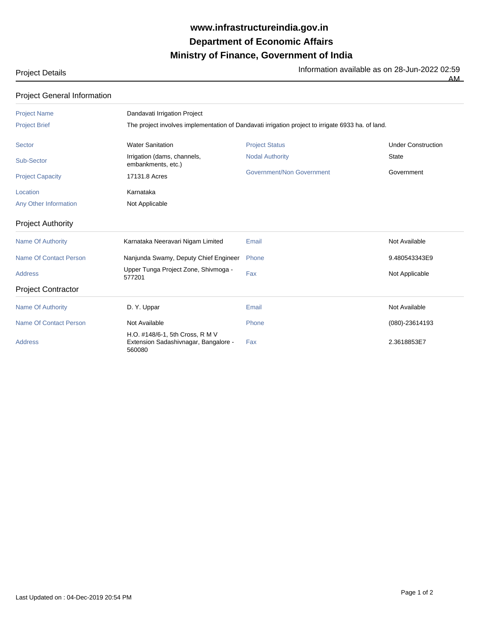## **Ministry of Finance, Government of India Department of Economic Affairs www.infrastructureindia.gov.in**

AM

Project Details **Information available as on 28-Jun-2022 02:59** 

| <b>Project General Information</b> |                                                                                                   |                           |                           |  |  |
|------------------------------------|---------------------------------------------------------------------------------------------------|---------------------------|---------------------------|--|--|
| <b>Project Name</b>                | Dandavati Irrigation Project                                                                      |                           |                           |  |  |
| <b>Project Brief</b>               | The project involves implementation of Dandavati irrigation project to irrigate 6933 ha. of land. |                           |                           |  |  |
| Sector                             | <b>Water Sanitation</b>                                                                           | <b>Project Status</b>     | <b>Under Construction</b> |  |  |
| Sub-Sector                         | Irrigation (dams, channels,<br>embankments, etc.)                                                 | <b>Nodal Authority</b>    | <b>State</b>              |  |  |
| <b>Project Capacity</b>            | 17131.8 Acres                                                                                     | Government/Non Government | Government                |  |  |
| Location                           | Karnataka                                                                                         |                           |                           |  |  |
| Any Other Information              | Not Applicable                                                                                    |                           |                           |  |  |
| <b>Project Authority</b>           |                                                                                                   |                           |                           |  |  |
| <b>Name Of Authority</b>           | Karnataka Neeravari Nigam Limited                                                                 | Email                     | Not Available             |  |  |
| <b>Name Of Contact Person</b>      | Nanjunda Swamy, Deputy Chief Engineer                                                             | Phone                     | 9.480543343E9             |  |  |
| <b>Address</b>                     | Upper Tunga Project Zone, Shivmoga -<br>577201                                                    | Fax                       | Not Applicable            |  |  |
| <b>Project Contractor</b>          |                                                                                                   |                           |                           |  |  |
| <b>Name Of Authority</b>           | D. Y. Uppar                                                                                       | Email                     | Not Available             |  |  |
| <b>Name Of Contact Person</b>      | Not Available                                                                                     | Phone                     | $(080) - 23614193$        |  |  |
| <b>Address</b>                     | H.O. #148/6-1, 5th Cross, R M V<br>Extension Sadashivnagar, Bangalore -<br>560080                 | Fax                       | 2.3618853E7               |  |  |